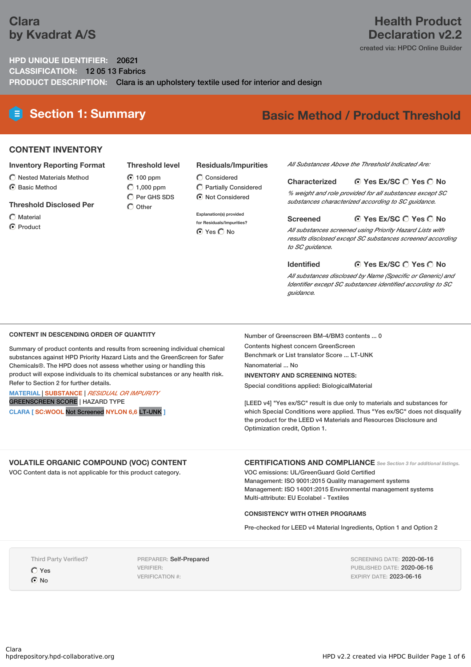# **Clara by Kvadrat A/S**

# **Health Product Declaration v2.2**

created via: HPDC Online Builder

## **HPD UNIQUE IDENTIFIER:** 20621 **CLASSIFICATION:** 12 05 13 Fabrics **PRODUCT DESCRIPTION:** Clara is an upholstery textile used for interior and design

**Threshold level**

 $\overline{O}$  Per GHS SDS  $\bigcap$  Other

# **Section 1: Summary Basic Method / Product Threshold**

### **CONTENT INVENTORY**

#### **Inventory Reporting Format**

- $\bigcirc$  Nested Materials Method
- **⊙** Basic Method

#### **Threshold Disclosed Per**

- $\bigcap$  Material
- **⊙** Product

#### **Residuals/Impurities**

- **100 ppm**  $O$  1,000 ppm  $\bigcirc$  Considered
	- Partially Considered  $\odot$  Not Considered

#### **Explanation(s) provided**

**for Residuals/Impurities? O** Yes O No

#### *All Substances Above the Threshold Indicated Are:*

#### **Yes Ex/SC Yes No Characterized**

*% weight and role provided for all substances except SC substances characterized according to SC guidance.*

#### **Yes Ex/SC Yes No Screened**

*All substances screened using Priority Hazard Lists with results disclosed except SC substances screened according to SC guidance.*

#### **Yes Ex/SC Yes No Identified**

*All substances disclosed by Name (Specific or Generic) and Identifier except SC substances identified according to SC guidance.*

#### **CONTENT IN DESCENDING ORDER OF QUANTITY**

Summary of product contents and results from screening individual chemical substances against HPD Priority Hazard Lists and the GreenScreen for Safer Chemicals®. The HPD does not assess whether using or handling this product will expose individuals to its chemical substances or any health risk. Refer to Section 2 for further details.

#### **MATERIAL** | **SUBSTANCE** | *RESIDUAL OR IMPURITY* GREENSCREEN SCORE | HAZARD TYPE

**CLARA [ SC:WOOL** Not Screened **NYLON 6,6** LT-UNK **]**

Number of Greenscreen BM-4/BM3 contents ... 0 Contents highest concern GreenScreen Benchmark or List translator Score ... LT-UNK

Nanomaterial ... No

#### **INVENTORY AND SCREENING NOTES:**

Special conditions applied: BiologicalMaterial

[LEED v4] "Yes ex/SC" result is due only to materials and substances for which Special Conditions were applied. Thus "Yes ex/SC" does not disqualify the product for the LEED v4 Materials and Resources Disclosure and Optimization credit, Option 1.

## **VOLATILE ORGANIC COMPOUND (VOC) CONTENT**

VOC Content data is not applicable for this product category.

**CERTIFICATIONS AND COMPLIANCE** *See Section <sup>3</sup> for additional listings.*

VOC emissions: UL/GreenGuard Gold Certified Management: ISO 9001:2015 Quality management systems Management: ISO 14001:2015 Environmental management systems Multi-attribute: EU Ecolabel - Textiles

#### **CONSISTENCY WITH OTHER PROGRAMS**

Pre-checked for LEED v4 Material Ingredients, Option 1 and Option 2

Third Party Verified?

Yes

 $\odot$  No

PREPARER: Self-Prepared VERIFIER: VERIFICATION #:

SCREENING DATE: 2020-06-16 PUBLISHED DATE: 2020-06-16 EXPIRY DATE: 2023-06-16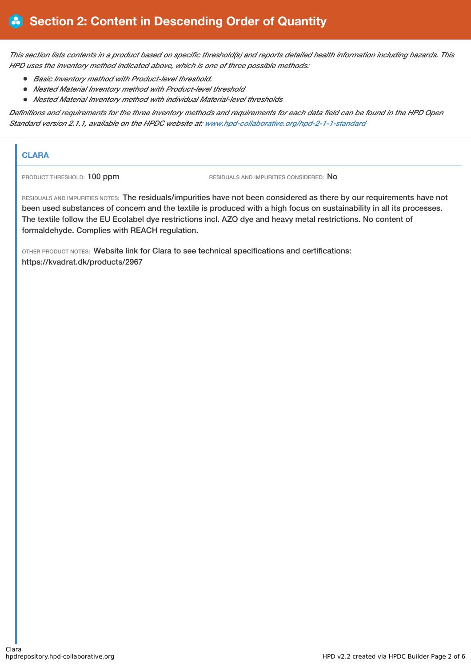This section lists contents in a product based on specific threshold(s) and reports detailed health information including hazards. This *HPD uses the inventory method indicated above, which is one of three possible methods:*

- *Basic Inventory method with Product-level threshold.*
- *Nested Material Inventory method with Product-level threshold*
- *Nested Material Inventory method with individual Material-level thresholds*

Definitions and requirements for the three inventory methods and requirements for each data field can be found in the HPD Open *Standard version 2.1.1, available on the HPDC website at: [www.hpd-collaborative.org/hpd-2-1-1-standard](https://www.hpd-collaborative.org/hpd-2-1-1-standard)*

## **CLARA**

PRODUCT THRESHOLD: 100 ppm RESIDUALS AND IMPURITIES CONSIDERED: No

RESIDUALS AND IMPURITIES NOTES: The residuals/impurities have not been considered as there by our requirements have not been used substances of concern and the textile is produced with a high focus on sustainability in all its processes. The textile follow the EU Ecolabel dye restrictions incl. AZO dye and heavy metal restrictions. No content of formaldehyde. Complies with REACH regulation.

OTHER PRODUCT NOTES: Website link for Clara to see technical specifications and certifications: https://kvadrat.dk/products/2967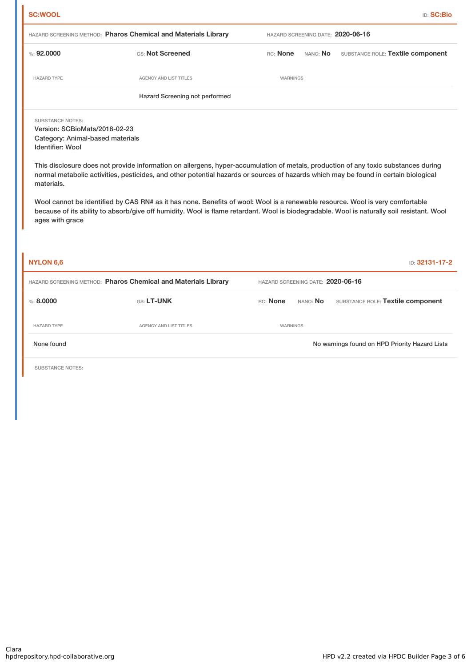| <b>SC:WOOL</b>                                                                                                                                           |                                                                                                                                                                                                                                                                                                                                                                                                                                                                                                                                                          |                                   | <b>ID: SC:Bio</b>                              |
|----------------------------------------------------------------------------------------------------------------------------------------------------------|----------------------------------------------------------------------------------------------------------------------------------------------------------------------------------------------------------------------------------------------------------------------------------------------------------------------------------------------------------------------------------------------------------------------------------------------------------------------------------------------------------------------------------------------------------|-----------------------------------|------------------------------------------------|
|                                                                                                                                                          | HAZARD SCREENING METHOD: Pharos Chemical and Materials Library                                                                                                                                                                                                                                                                                                                                                                                                                                                                                           | HAZARD SCREENING DATE: 2020-06-16 |                                                |
| %: 92,0000                                                                                                                                               | GS: Not Screened                                                                                                                                                                                                                                                                                                                                                                                                                                                                                                                                         | RC: None<br>NANO: No              | SUBSTANCE ROLE: Textile component              |
| <b>HAZARD TYPE</b>                                                                                                                                       | <b>AGENCY AND LIST TITLES</b>                                                                                                                                                                                                                                                                                                                                                                                                                                                                                                                            | WARNINGS                          |                                                |
|                                                                                                                                                          | Hazard Screening not performed                                                                                                                                                                                                                                                                                                                                                                                                                                                                                                                           |                                   |                                                |
| <b>SUBSTANCE NOTES:</b><br>Version: SCBioMats/2018-02-23<br>Category: Animal-based materials<br><b>Identifier: Wool</b><br>materials.<br>ages with grace | This disclosure does not provide information on allergens, hyper-accumulation of metals, production of any toxic substances during<br>normal metabolic activities, pesticides, and other potential hazards or sources of hazards which may be found in certain biological<br>Wool cannot be identified by CAS RN# as it has none. Benefits of wool: Wool is a renewable resource. Wool is very comfortable<br>because of its ability to absorb/give off humidity. Wool is flame retardant. Wool is biodegradable. Wool is naturally soil resistant. Wool |                                   |                                                |
| NYLON 6.6                                                                                                                                                |                                                                                                                                                                                                                                                                                                                                                                                                                                                                                                                                                          |                                   | ID: 32131-17-2                                 |
|                                                                                                                                                          | HAZARD SCREENING METHOD: Pharos Chemical and Materials Library                                                                                                                                                                                                                                                                                                                                                                                                                                                                                           | HAZARD SCREENING DATE: 2020-06-16 |                                                |
| % : 8.0000                                                                                                                                               | GS: LT-UNK                                                                                                                                                                                                                                                                                                                                                                                                                                                                                                                                               | RC: None<br>NANO: No              | SUBSTANCE ROLE: Textile component              |
| <b>HAZARD TYPE</b>                                                                                                                                       | <b>AGENCY AND LIST TITLES</b>                                                                                                                                                                                                                                                                                                                                                                                                                                                                                                                            | <b>WARNINGS</b>                   |                                                |
| None found                                                                                                                                               |                                                                                                                                                                                                                                                                                                                                                                                                                                                                                                                                                          |                                   | No warnings found on HPD Priority Hazard Lists |
| <b>SUBSTANCE NOTES:</b>                                                                                                                                  |                                                                                                                                                                                                                                                                                                                                                                                                                                                                                                                                                          |                                   |                                                |
|                                                                                                                                                          |                                                                                                                                                                                                                                                                                                                                                                                                                                                                                                                                                          |                                   |                                                |
|                                                                                                                                                          |                                                                                                                                                                                                                                                                                                                                                                                                                                                                                                                                                          |                                   |                                                |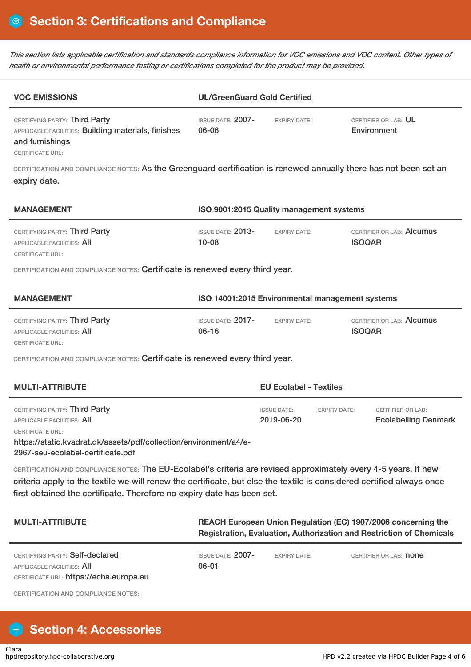This section lists applicable certification and standards compliance information for VOC emissions and VOC content. Other types of *health or environmental performance testing or certifications completed for the product may be provided.*

| <b>VOC EMISSIONS</b>                                                                                                                                                                                                                                                                                                | <b>UL/GreenGuard Gold Certified</b>                                                                                                   |                                                         |                                                         |  |
|---------------------------------------------------------------------------------------------------------------------------------------------------------------------------------------------------------------------------------------------------------------------------------------------------------------------|---------------------------------------------------------------------------------------------------------------------------------------|---------------------------------------------------------|---------------------------------------------------------|--|
| CERTIFYING PARTY: Third Party<br>APPLICABLE FACILITIES: Building materials, finishes<br>and furnishings<br><b>CERTIFICATE URL:</b>                                                                                                                                                                                  | <b>ISSUE DATE: 2007-</b><br>06-06                                                                                                     | <b>EXPIRY DATE:</b>                                     | CERTIFIER OR LAB: UL<br>Environment                     |  |
| CERTIFICATION AND COMPLIANCE NOTES: As the Greenguard certification is renewed annually there has not been set an<br>expiry date.                                                                                                                                                                                   |                                                                                                                                       |                                                         |                                                         |  |
| <b>MANAGEMENT</b>                                                                                                                                                                                                                                                                                                   | ISO 9001:2015 Quality management systems                                                                                              |                                                         |                                                         |  |
| CERTIFYING PARTY: Third Party<br>APPLICABLE FACILITIES: AII<br><b>CERTIFICATE URL:</b>                                                                                                                                                                                                                              | <b>ISSUE DATE: 2013-</b><br>$10 - 08$                                                                                                 | <b>EXPIRY DATE:</b>                                     | CERTIFIER OR LAB: Alcumus<br><b>ISOQAR</b>              |  |
| CERTIFICATION AND COMPLIANCE NOTES: Certificate is renewed every third year.                                                                                                                                                                                                                                        |                                                                                                                                       |                                                         |                                                         |  |
| <b>MANAGEMENT</b>                                                                                                                                                                                                                                                                                                   | ISO 14001:2015 Environmental management systems                                                                                       |                                                         |                                                         |  |
| CERTIFYING PARTY: Third Party<br><b>APPLICABLE FACILITIES: AII</b><br><b>CERTIFICATE URL:</b>                                                                                                                                                                                                                       | <b>ISSUE DATE: 2017-</b><br>$06 - 16$                                                                                                 | <b>EXPIRY DATE:</b>                                     | CERTIFIER OR LAB: Alcumus<br><b>ISOQAR</b>              |  |
| CERTIFICATION AND COMPLIANCE NOTES: Certificate is renewed every third year.                                                                                                                                                                                                                                        |                                                                                                                                       |                                                         |                                                         |  |
| <b>MULTI-ATTRIBUTE</b><br><b>EU Ecolabel - Textiles</b>                                                                                                                                                                                                                                                             |                                                                                                                                       |                                                         |                                                         |  |
| CERTIFYING PARTY: Third Party<br><b>APPLICABLE FACILITIES: All</b><br><b>CERTIFICATE URL:</b><br>https://static.kvadrat.dk/assets/pdf/collection/environment/a4/e-<br>2967-seu-ecolabel-certificate.pdf                                                                                                             |                                                                                                                                       | <b>ISSUE DATE:</b><br><b>EXPIRY DATE:</b><br>2019-06-20 | <b>CERTIFIER OR LAB:</b><br><b>Ecolabelling Denmark</b> |  |
| CERTIFICATION AND COMPLIANCE NOTES: The EU-Ecolabel's criteria are revised approximately every 4-5 years. If new<br>criteria apply to the textile we will renew the certificate, but else the textile is considered certified always once<br>first obtained the certificate. Therefore no expiry date has been set. |                                                                                                                                       |                                                         |                                                         |  |
| <b>MULTI-ATTRIBUTE</b>                                                                                                                                                                                                                                                                                              | REACH European Union Regulation (EC) 1907/2006 concerning the<br>Registration, Evaluation, Authorization and Restriction of Chemicals |                                                         |                                                         |  |
| CERTIFYING PARTY: Self-declared<br>APPLICABLE FACILITIES: All<br>CERTIFICATE URL: https://echa.europa.eu                                                                                                                                                                                                            | ISSUE DATE: 2007-<br>06-01                                                                                                            | <b>EXPIRY DATE:</b>                                     | CERTIFIER OR LAB: <b>none</b>                           |  |
| <b>CERTIFICATION AND COMPLIANCE NOTES:</b>                                                                                                                                                                                                                                                                          |                                                                                                                                       |                                                         |                                                         |  |

# **Section 4: Accessories**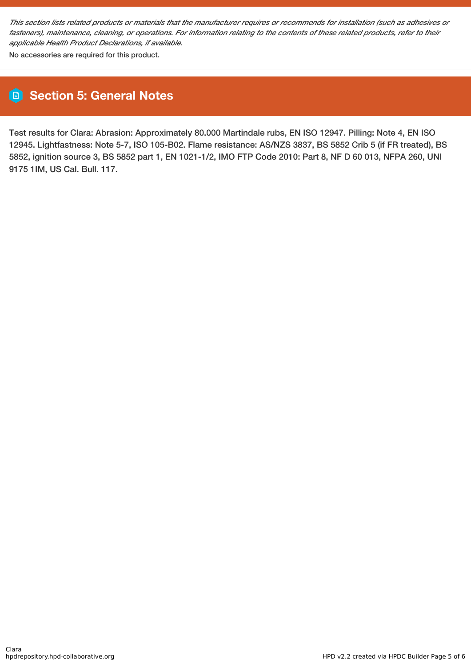This section lists related products or materials that the manufacturer requires or recommends for installation (such as adhesives or fasteners), maintenance, cleaning, or operations. For information relating to the contents of these related products, refer to their *applicable Health Product Declarations, if available.*

No accessories are required for this product.

# **Section 5: General Notes**

Test results for Clara: Abrasion: Approximately 80.000 Martindale rubs, EN ISO 12947. Pilling: Note 4, EN ISO 12945. Lightfastness: Note 5-7, ISO 105-B02. Flame resistance: AS/NZS 3837, BS 5852 Crib 5 (if FR treated), BS 5852, ignition source 3, BS 5852 part 1, EN 1021-1/2, IMO FTP Code 2010: Part 8, NF D 60 013, NFPA 260, UNI 9175 1IM, US Cal. Bull. 117.